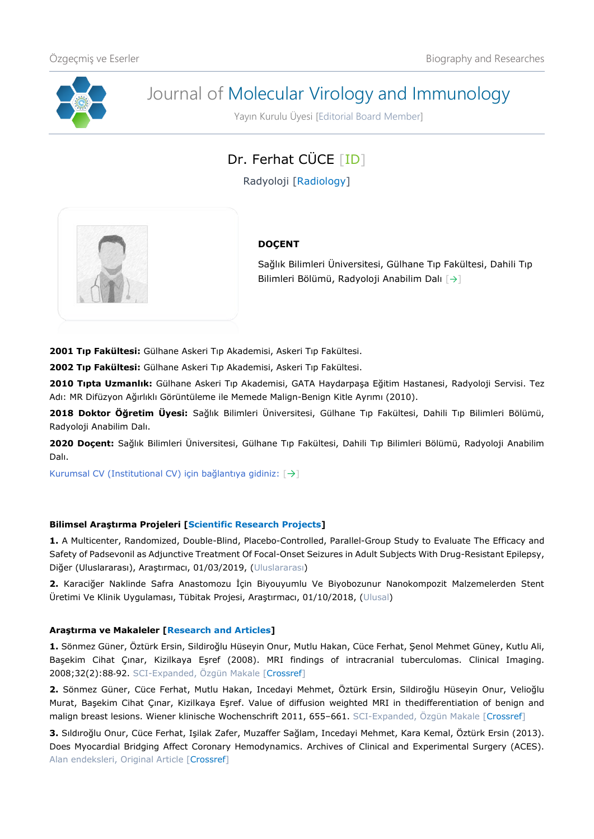

# Journal of Molecular Virology and Immunology

Yayın Kurulu Üyesi [Editorial Board Member]

## Dr. Ferhat CÜCE [\[ID\]](https://orcid.org/0000-0003-1831-3868)

Radyoloji [Radiology]



### **DOÇENT**

Sağlık Bilimleri Üniversitesi, Gülhane Tıp Fakültesi, Dahili Tıp Bilimleri Bölümü, Radyoloji Anabilim Dalı [[→](http://gulhanetip.sbu.edu.tr/Akademik/RadyolojiAnabilimDali)]

**2001 Tıp Fakültesi:** Gülhane Askeri Tıp Akademisi, Askeri Tıp Fakültesi.

**2002 Tıp Fakültesi:** Gülhane Askeri Tıp Akademisi, Askeri Tıp Fakültesi.

**2010 Tıpta Uzmanlık:** Gülhane Askeri Tıp Akademisi, GATA Haydarpaşa Eğitim Hastanesi, Radyoloji Servisi. Tez Adı: MR Difüzyon Ağırlıklı Görüntüleme ile Memede Malign-Benign Kitle Ayrımı (2010).

**2018 Doktor Öğretim Üyesi:** Sağlık Bilimleri Üniversitesi, Gülhane Tıp Fakültesi, Dahili Tıp Bilimleri Bölümü, Radyoloji Anabilim Dalı.

**2020 Doçent:** Sağlık Bilimleri Üniversitesi, Gülhane Tıp Fakültesi, Dahili Tıp Bilimleri Bölümü, Radyoloji Anabilim Dalı.

Kurumsal CV (Institutional CV) için bağlantıya gidiniz: [[→](https://dosya.sbu.edu.tr/CV/FERHATCUCE_5102.pdf)]

#### **Bilimsel Araştırma Projeleri [Scientific Research Projects]**

**1.** A Multicenter, Randomized, Double-Blind, Placebo-Controlled, Parallel-Group Study to Evaluate The Efficacy and Safety of Padsevonil as Adjunctive Treatment Of Focal-Onset Seizures in Adult Subjects With Drug-Resistant Epilepsy, Diğer (Uluslararası), Araştırmacı, 01/03/2019, (Uluslararası)

**2.** Karaciğer Naklinde Safra Anastomozu İçin Biyouyumlu Ve Biyobozunur Nanokompozit Malzemelerden Stent Üretimi Ve Klinik Uygulaması, Tübitak Projesi, Araştırmacı, 01/10/2018, (Ulusal)

#### **Araştırma ve Makaleler [Research and Articles]**

**1.** Sönmez Güner, Öztürk Ersin, Sildiroğlu Hüseyin Onur, Mutlu Hakan, Cüce Ferhat, Şenol Mehmet Güney, Kutlu Ali, Başekim Cihat Çınar, Kizilkaya Eşref (2008). MRI findings of intracranial tuberculomas. Clinical Imaging. 2008;32(2):88‐92. SCI-Expanded, Özgün Makale [\[Crossref\]](https://doi.org/10.1016/j.clinimag.2007.08.024)

**2.** Sönmez Güner, Cüce Ferhat, Mutlu Hakan, Incedayi Mehmet, Öztürk Ersin, Sildiroğlu Hüseyin Onur, Velioğlu Murat, Başekim Cihat Çınar, Kizilkaya Eşref. Value of diffusion weighted MRI in thedifferentiation of benign and malign breast lesions. Wiener klinische Wochenschrift 2011, 655-661. SCI-Expanded, Özgün Makale [\[Crossref\]](https://doi.org/10.1007/s00508-011-0053-5)

**3.** Sıldıroğlu Onur, Cüce Ferhat, Işilak Zafer, Muzaffer Sağlam, Incedayi Mehmet, Kara Kemal, Öztürk Ersin (2013). Does Myocardial Bridging Affect Coronary Hemodynamics. Archives of Clinical and Experimental Surgery (ACES). Alan endeksleri, Original Article [\[Crossref\]](https://doi.org/10.5455/aces.20120720101707)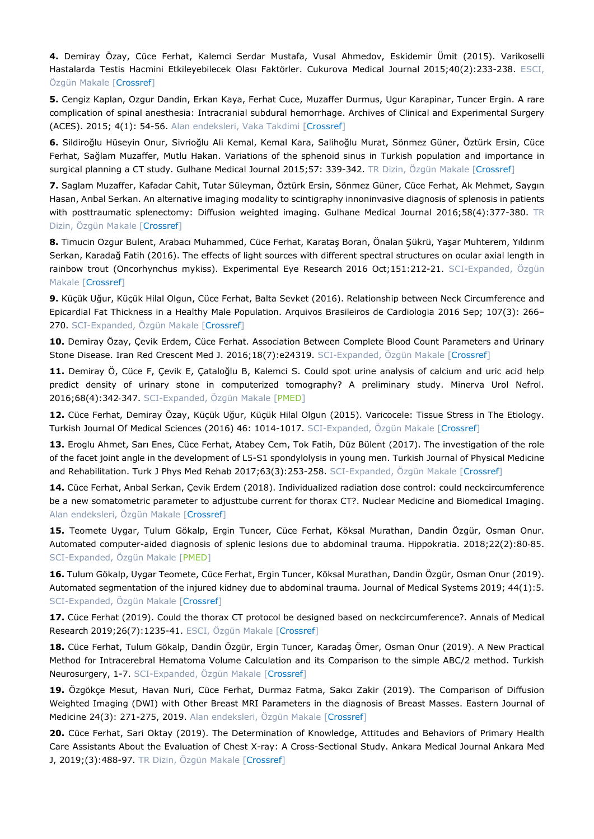**4.** Demiray Özay, Cüce Ferhat, Kalemci Serdar Mustafa, Vusal Ahmedov, Eskidemir Ümit (2015). Varikoselli Hastalarda Testis Hacmini Etkileyebilecek Olası Faktörler. Cukurova Medical Journal 2015;40(2):233-238. ESCI, Özgün Makale [\[Crossref\]](https://doi.org/10.17826/cutf.26216)

**5.** Cengiz Kaplan, Ozgur Dandin, Erkan Kaya, Ferhat Cuce, Muzaffer Durmus, Ugur Karapinar, Tuncer Ergin. A rare complication of spinal anesthesia: Intracranial subdural hemorrhage. Archives of Clinical and Experimental Surgery (ACES). 2015; 4(1): 54-56. Alan endeksleri, Vaka Takdimi [\[Crossref\]](https://doi.org/10.5455/aces.20130207120902)

**6.** Sildiroğlu Hüseyin Onur, Sivrioğlu Ali Kemal, Kemal Kara, Salihoğlu Murat, Sönmez Güner, Öztürk Ersin, Cüce Ferhat, Sağlam Muzaffer, Mutlu Hakan. Variations of the sphenoid sinus in Turkish population and importance in surgical planning a CT study. Gulhane Medical Journal 2015;57: 339-342. TR Dizin, Özgün Makale [\[Crossref\]](https://doi.org/10.5455/gulhane.187255)

**7.** Saglam Muzaffer, Kafadar Cahit, Tutar Süleyman, Öztürk Ersin, Sönmez Güner, Cüce Ferhat, Ak Mehmet, Saygın Hasan, Arıbal Serkan. An alternative imaging modality to scintigraphy innoninvasive diagnosis of splenosis in patients with posttraumatic splenectomy: Diffusion weighted imaging. Gulhane Medical Journal 2016;58(4):377-380. TR Dizin, Özgün Makale [\[Crossref\]](https://doi.org/10.5455/gulhane.214111)

**8.** Timucin Ozgur Bulent, Arabacı Muhammed, Cüce Ferhat, Karataş Boran, Önalan Şükrü, Yaşar Muhterem, Yıldırım Serkan, Karadağ Fatih (2016). The effects of light sources with different spectral structures on ocular axial length in rainbow trout (Oncorhynchus mykiss). Experimental Eye Research 2016 Oct;151:212-21. SCI-Expanded, Özgün Makale [\[Crossref\]](https://doi.org/10.1016/j.exer.2016.08.018)

**9.** Küçük Uğur, Küçük Hilal Olgun, Cüce Ferhat, Balta Sevket (2016). Relationship between Neck Circumference and Epicardial Fat Thickness in a Healthy Male Population. Arquivos Brasileiros de Cardiologia 2016 Sep; 107(3): 266– 270. SCI-Expanded, Özgün Makale [\[Crossref\]](https://doi.org/10.5935/abc.20160112)

**10.** Demiray Özay, Çevik Erdem, Cüce Ferhat. Association Between Complete Blood Count Parameters and Urinary Stone Disease. Iran Red Crescent Med J. 2016;18(7):e24319. SCI-Expanded, Özgün Makale [\[Crossref\]](https://doi.org/10.5812/ircmj.24319)

**11.** Demiray Ö, Cüce F, Çevik E, Çataloğlu B, Kalemci S. Could spot urine analysis of calcium and uric acid help predict density of urinary stone in computerized tomography? A preliminary study. Minerva Urol Nefrol. 2016;68(4):342‐347. SCI-Expanded, Özgün Makale [\[PMED\]](https://pubmed.ncbi.nlm.nih.gov/26955798/)

**12.** Cüce Ferhat, Demiray Özay, Küçük Uğur, Küçük Hilal Olgun (2015). Varicocele: Tissue Stress in The Etiology. Turkish Journal Of Medical Sciences (2016) 46: 1014-1017. SCI-Expanded, Özgün Makale [\[Crossref\]](https://doi.org/10.3906/sag-1411-70)

**13.** Eroglu Ahmet, Sarı Enes, Cüce Ferhat, Atabey Cem, Tok Fatih, Düz Bülent (2017). The investigation of the role of the facet joint angle in the development of L5-S1 spondylolysis in young men. Turkish Journal of Physical Medicine and Rehabilitation. Turk J Phys Med Rehab 2017;63(3):253-258. SCI-Expanded, Özgün Makale [\[Crossref\]](https://doi.org/10.5606/tftrd.2017.295)

**14.** Cüce Ferhat, Arıbal Serkan, Çevik Erdem (2018). Individualized radiation dose control: could neckcircumference be a new somatometric parameter to adjusttube current for thorax CT?. Nuclear Medicine and Biomedical Imaging. Alan endeksleri, Özgün Makale [\[Crossref\]](https://doi.org/10.15761/NMBI.1000136)

**15.** Teomete Uygar, Tulum Gökalp, Ergin Tuncer, Cüce Ferhat, Köksal Murathan, Dandin Özgür, Osman Onur. Automated computer-aided diagnosis of splenic lesions due to abdominal trauma. Hippokratia. 2018;22(2):80‐85. SCI-Expanded, Özgün Makale [\[PMED\]](https://pubmed.ncbi.nlm.nih.gov/31217680/)

**16.** Tulum Gökalp, Uygar Teomete, Cüce Ferhat, Ergin Tuncer, Köksal Murathan, Dandin Özgür, Osman Onur (2019). Automated segmentation of the injured kidney due to abdominal trauma. Journal of Medical Systems 2019; 44(1):5. SCI-Expanded, Özgün Makale [\[Crossref\]](https://doi.org/10.1007/s10916-019-1476-1)

**17.** Cüce Ferhat (2019). Could the thorax CT protocol be designed based on neckcircumference?. Annals of Medical Research 2019;26(7):1235-41. ESCI, Özgün Makale [\[Crossref\]](https://doi.org/10.5455/annalsmedres.2019.02.113)

**18.** Cüce Ferhat, Tulum Gökalp, Dandin Özgür, Ergin Tuncer, Karadaş Ömer, Osman Onur (2019). A New Practical Method for Intracerebral Hematoma Volume Calculation and its Comparison to the simple ABC/2 method. Turkish Neurosurgery, 1-7. SCI-Expanded, Özgün Makale [\[Crossref\]](https://doi.org/10.5137/1019-5149.JTN.25996-19.2)

**19.** Özgökçe Mesut, Havan Nuri, Cüce Ferhat, Durmaz Fatma, Sakcı Zakir (2019). The Comparison of Diffusion Weighted Imaging (DWI) with Other Breast MRI Parameters in the diagnosis of Breast Masses. Eastern Journal of Medicine 24(3): 271-275, 2019. Alan endeksleri, Özgün Makale [\[Crossref\]](https://doi.org/10.5505/ejm.2019.60590)

**20.** Cüce Ferhat, Sari Oktay (2019). The Determination of Knowledge, Attitudes and Behaviors of Primary Health Care Assistants About the Evaluation of Chest X-ray: A Cross-Sectional Study. Ankara Medical Journal Ankara Med J, 2019;(3):488-97. TR Dizin, Özgün Makale [\[Crossref\]](https://doi.org/10.17098/amj.624405)